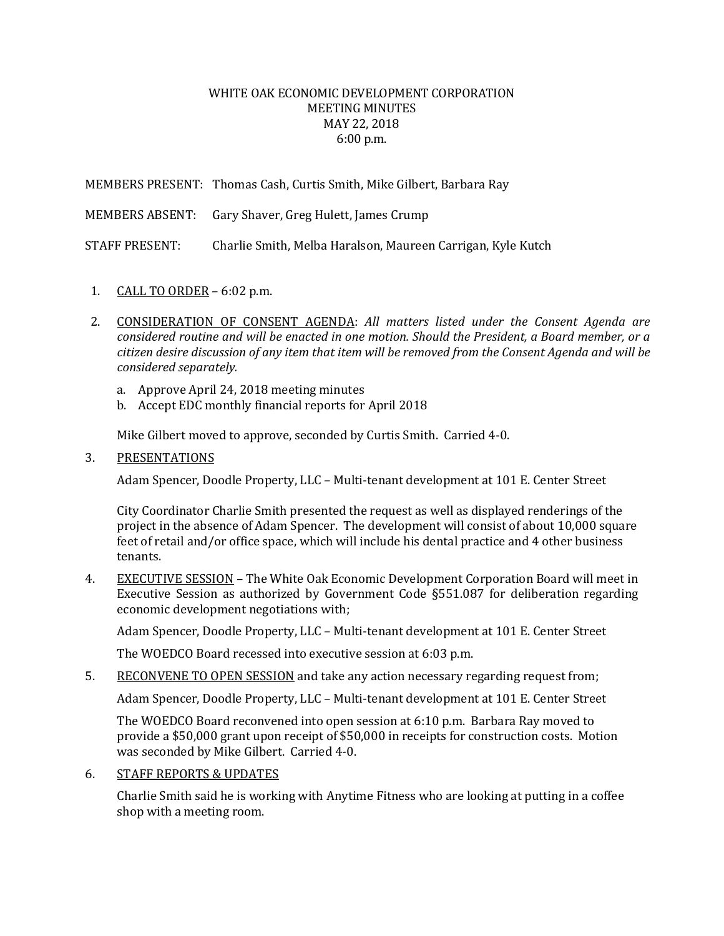## WHITE OAK ECONOMIC DEVELOPMENT CORPORATION MEETING MINUTES MAY 22, 2018 6:00 p.m.

MEMBERS PRESENT: Thomas Cash, Curtis Smith, Mike Gilbert, Barbara Ray

MEMBERS ABSENT: Gary Shaver, Greg Hulett, James Crump

STAFF PRESENT: Charlie Smith, Melba Haralson, Maureen Carrigan, Kyle Kutch

- 1. CALL TO ORDER 6:02 p.m.
- 2. CONSIDERATION OF CONSENT AGENDA: *All matters listed under the Consent Agenda are considered routine and will be enacted in one motion. Should the President, a Board member, or a citizen desire discussion of any item that item will be removed from the Consent Agenda and will be considered separately.*
	- a. Approve April 24, 2018 meeting minutes
	- b. Accept EDC monthly financial reports for April 2018

Mike Gilbert moved to approve, seconded by Curtis Smith. Carried 4-0.

## 3. PRESENTATIONS

Adam Spencer, Doodle Property, LLC – Multi-tenant development at 101 E. Center Street

City Coordinator Charlie Smith presented the request as well as displayed renderings of the project in the absence of Adam Spencer. The development will consist of about 10,000 square feet of retail and/or office space, which will include his dental practice and 4 other business tenants.

4. EXECUTIVE SESSION - The White Oak Economic Development Corporation Board will meet in Executive Session as authorized by Government Code §551.087 for deliberation regarding economic development negotiations with;

Adam Spencer, Doodle Property, LLC – Multi-tenant development at 101 E. Center Street

The WOEDCO Board recessed into executive session at 6:03 p.m.

5. RECONVENE TO OPEN SESSION and take any action necessary regarding request from;

Adam Spencer, Doodle Property, LLC – Multi-tenant development at 101 E. Center Street

The WOEDCO Board reconvened into open session at 6:10 p.m. Barbara Ray moved to provide a \$50,000 grant upon receipt of \$50,000 in receipts for construction costs. Motion was seconded by Mike Gilbert. Carried 4-0.

6. STAFF REPORTS & UPDATES

Charlie Smith said he is working with Anytime Fitness who are looking at putting in a coffee shop with a meeting room.